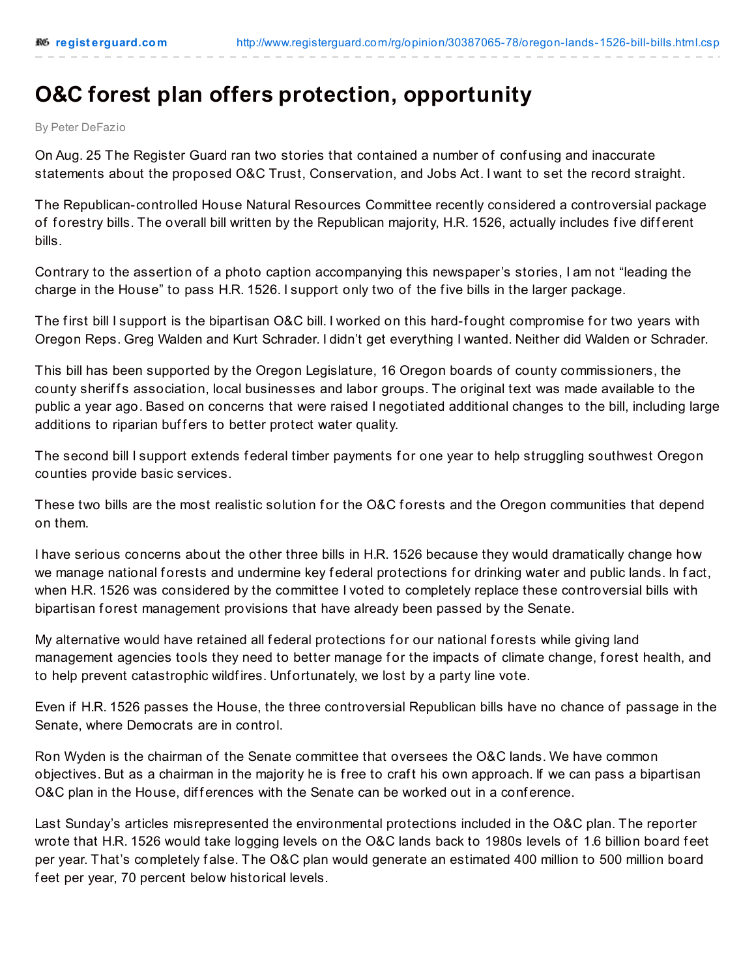## **O&C forest plan offers protection, opportunity**

By Peter DeFazio

On Aug. 25 The Register Guard ran two stories that contained a number of conf using and inaccurate statements about the proposed O&C Trust, Conservation, and Jobs Act. I want to set the record straight.

The Republican-controlled House Natural Resources Committee recently considered a controversial package of forestry bills. The overall bill written by the Republican majority, H.R. 1526, actually includes five different bills.

Contrary to the assertion of a photo caption accompanying this newspaper's stories, I am not "leading the charge in the House" to pass H.R. 1526. I support only two of the f ive bills in the larger package.

The first bill I support is the bipartisan O&C bill. I worked on this hard-fought compromise for two years with Oregon Reps. Greg Walden and Kurt Schrader. I didn't get everything I wanted. Neither did Walden or Schrader.

This bill has been supported by the Oregon Legislature, 16 Oregon boards of county commissioners, the county sheriffs association, local businesses and labor groups. The original text was made available to the public a year ago. Based on concerns that were raised I negotiated additional changes to the bill, including large additions to riparian buffers to better protect water quality.

The second bill I support extends federal timber payments for one year to help struggling southwest Oregon counties provide basic services.

These two bills are the most realistic solution for the O&C forests and the Oregon communities that depend on them.

I have serious concerns about the other three bills in H.R. 1526 because they would dramatically change how we manage national forests and undermine key federal protections for drinking water and public lands. In fact, when H.R. 1526 was considered by the committee I voted to completely replace these controversial bills with bipartisan f orest management provisions that have already been passed by the Senate.

My alternative would have retained all federal protections for our national forests while giving land management agencies tools they need to better manage for the impacts of climate change, forest health, and to help prevent catastrophic wildfires. Unfortunately, we lost by a party line vote.

Even if H.R. 1526 passes the House, the three controversial Republican bills have no chance of passage in the Senate, where Democrats are in control.

Ron Wyden is the chairman of the Senate committee that oversees the O&C lands. We have common objectives. But as a chairman in the majority he is free to craft his own approach. If we can pass a bipartisan O&C plan in the House, differences with the Senate can be worked out in a conference.

Last Sunday's articles misrepresented the environmental protections included in the O&C plan. The reporter wrote that H.R. 1526 would take logging levels on the O&C lands back to 1980s levels of 1.6 billion board f eet per year. That's completely f alse. The O&C plan would generate an estimated 400 million to 500 million board f eet per year, 70 percent below historical levels.